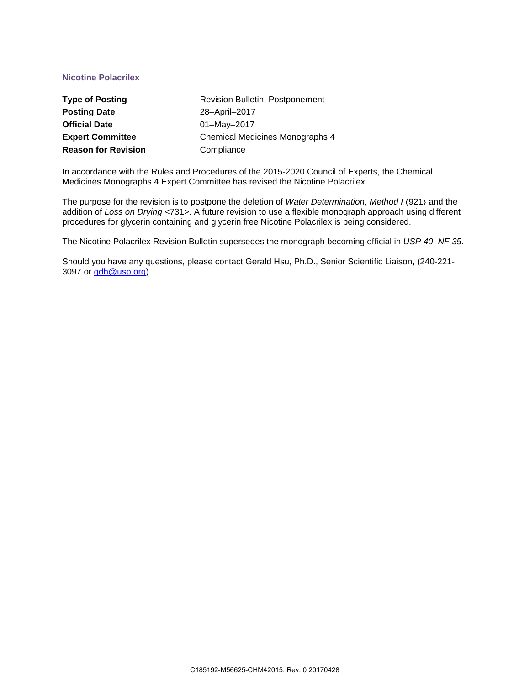# **Nicotine Polacrilex**

| <b>Type of Posting</b>     | Revision Bulletin, Postponement        |
|----------------------------|----------------------------------------|
| <b>Posting Date</b>        | 28-April-2017                          |
| <b>Official Date</b>       | 01-May-2017                            |
| <b>Expert Committee</b>    | <b>Chemical Medicines Monographs 4</b> |
| <b>Reason for Revision</b> | Compliance                             |

In accordance with the Rules and Procedures of the 2015-2020 Council of Experts, the Chemical Medicines Monographs 4 Expert Committee has revised the Nicotine Polacrilex.

The purpose for the revision is to postpone the deletion of *Water Determination, Method I* 〈921〉 and the addition of *Loss on Drying* <731>. A future revision to use a flexible monograph approach using different procedures for glycerin containing and glycerin free Nicotine Polacrilex is being considered.

The Nicotine Polacrilex Revision Bulletin supersedes the monograph becoming official in *USP 40–NF 35*.

Should you have any questions, please contact Gerald Hsu, Ph.D., Senior Scientific Liaison, (240-221- 3097 or [gdh@usp.org\)](mailto:gdh@usp.org)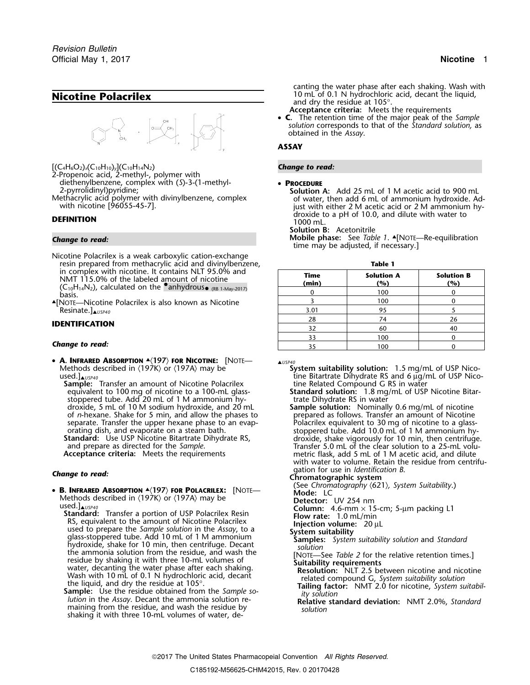

 $[(C_4H_6O_2)_x(C_{10}H_{10})_y(C_{10}H_{14}N_2)$  **Change to read:** 

2-Propenoic acid, 2-methyl-, polymer with diethenylbenzene, complex with (*S*)-3-(1-methyl- • **PROCEDURE**

Nicotine Polacrilex is a weak carboxylic cation-exchange resin prepared from methacrylic acid and divinylbenzene,<br>in complex with nicotine. It contains NLT 95.0% and in complex with nicotine. It contains NLT 95.0% and<br>NMT 115.0% of the labeled amount of nicotine **Time Solution A** Solution B<br>(C<sub>10</sub>H<sub>14</sub>N<sub>2</sub>), calculated on the anhydrous<sub>o (RB 1-May-2017)</sub> (and a monomic monomic of the

### **Change to read:**

• **A. INFRARED ABSORPTION** ▲**.**〈**197**〉 **FOR NICOTINE:** [NOTE— ▲*USP40* Methods described in 〈197K〉 or 〈197A〉 may be **System suitability solution:** 1.5 mg/mL of USP Nico-<br>ine Bitartrate Dihydrate RS and 6 μg/mL of USP Nico-

**Sample:** Transfer an amount of Nicotine Polacrilex equivalent to 100 mg of nicotine to a 100-mL glassstoppered tube. Add 20 mL of 1 M ammonium hy-<br>droxide, 5 mL of 10 M sodium hydroxide, and 20 mL **Sample solution:** Nominally 0.6 mg/mL of nicotine droxide, 5 mL of 10 M sodium hydroxide, and 20 mL of *n*-hexane. Shake for 5 min, and allow the phases to of *n*-hexane. Shake for 5 min, and allow the phases to prepared as follows. Transfer an amount of Nicotine separate. Transfer the upper hexane phase to an evap- Polacrilex equivalent to 30 mg of nicotine to a glassorating dish, and evaporate on a steam bath. stoppered tube. Add 10.0 mL of 1 M ammonium hy-<br>**Standard:** Use USP Nicotine Bitartrate Dihydrate RS, entitled and a droxide, shake vigorously for 10 min, then centrifuge **Standard:** Use USP Nicotine Bitartrate Dihydrate RS, droxide, shake vigorously for 10 min, then centrifuge.

- 
- **B. INFRARED ABSORPTION**  $*(197K)$  **FOR POLACRILEX:** [NOTE-<br>
Mode: LC<br>
used.]<br>
are the sample solution in the Assay, to a<br>
standard: Transfer a portion of USP Polacrilex Resin<br>
RS, equivalent to the amount of Nicotine Polacr
	-

canting the water phase after each shaking. Wash with **Nicotine Polacrilex** 10 mL of 0.1 N hydrochloric acid, decant the liquid, and dry the residue at 105°.

- **Acceptance criteria:** Meets the requirements
- C. **C.** The retention time of the major peak of the *Sample solution* corresponds to that of the *Standard solution,* as obtained in the *Assay*.

### **ASSAY**

**Solution A:** Add 25 mL of 1 M acetic acid to 900 mL of water, then add 6 mL of ammonium hydroxide. Ad-Methacrylic acid polymer with divinylbenzene, complex<br>with inicotine [96055-45-7]. With nicotine [96055-45-7]. With nicotine [96055-45-7]. **DEFINITION**<br>1000 mL. **DEFINITION** 1000 mL.

**Solution B:** Acetonitrile

**Change to read: Mobile phase:** See *Table 1*. ▲... All Mobile phase: See *Table 1*. ▲... All MOTE—Re-equilibration time may be adjusted, if necessary.]

| Time<br>(min) | <b>Solution A</b><br>(%) | <b>Solution B</b><br>(%) |  |
|---------------|--------------------------|--------------------------|--|
|               | 100                      |                          |  |
|               | 100                      |                          |  |
| 3.01          |                          |                          |  |
| 28            |                          |                          |  |
|               | 60                       | 40                       |  |
|               | 100                      |                          |  |
|               | 100                      |                          |  |
|               |                          |                          |  |

tine Bitartrate Dihydrate RS and 6 µg/mL of USP Nico-<br>tine Related Compound G RS in water

**Standard solution:** 1.8 mg/mL of USP Nicotine Bitar-<br>trate Dihydrate RS in water

and prepare as directed for the *Sample*. Transfer 5.0 mL of the clear solution to a 25-mL volu-**Acceptance criteria:** Meets the requirements metric flask, add 5 mL of 1 M acetic acid, and dilute with water to volume. Retain the residue from centrifugation for use in *Identification B*. *Change to read:* **Chromatographic system**

**B. INFRARED ABSORPTION A(197) FOR POLACRILEX:** [NOTE- (See *Chromatography (621), System Suitability*.) • Mode: LC

- 
- 
- 
- 
-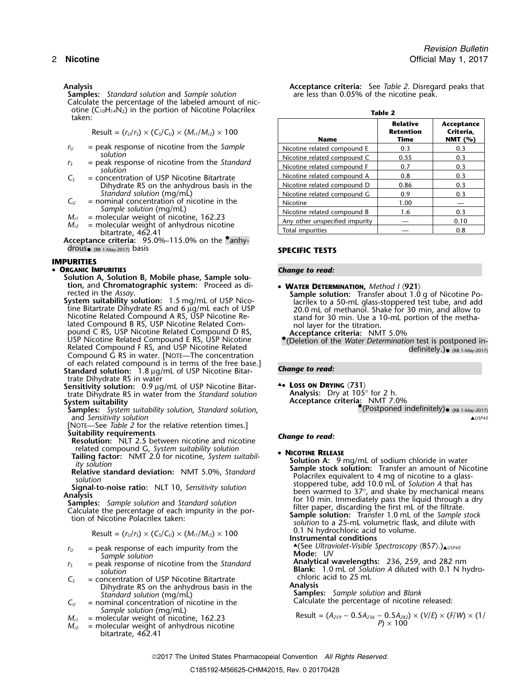**Samples:** *Standard solution* and *Sample solution* Calculate the percentage of the labeled amount of nicotine (C10H14N2) in the portion of Nicotine Polacrilex **Table 2** taken:

$$
Result = (r_U/r_S) \times (C_S/C_U) \times (M_{r1}/M_{r2}) \times 100
$$

- $r_U$  = peak response of nicotine from the *Sample* solution
- 
- $C<sub>S</sub>$  = concentration of USP Nicotine Bitartrate Dihydrate RS on the anhydrous basis in the *Standard solution* (mg/mL)
- $C_U$  = nominal concentration of nicotine in the
- 
- bitartrate, 462.41<br>**Acceptance criteria:** 95.0%–115.0% on the **•**anhy-

drous• (RB 1-May-2017) basis **SPECIFIC TESTS**

### **IMPURITIES**

## **• ORGANIC IMPURITIES**

- **ORGANIC IMPURITIES**<br> **Solution A, Solution B, Mobile phase, Sample solu-**<br> **Columpter Solution, and Chromatographic system:** Proceed as di-<br> **COLUMPTER PROPERER PRETERN**
- pound C RS, USP Nicotine Related Compound D RS, **Acceptance criteria:** NMT 5.0% pound C RS, USP Nicotine Related Compound D RS, **Acceptance criteria:** NMT 5.0%<br>USP Nicotine Related Compound E RS, USP Nicotine **•**<br>Related Compound F RS, and USP Nicotine Related **beining the** *Water Determination* test Compound G RS in water. [NOTE—The concentration of each related compound is in terms of the free base.] **Standard solution:** *Change to read:* 1.8 <sup>µ</sup>g/mL of USP Nicotine Bitar-
- trate Dihydrate RS in water **Sensitivity solution:** 0.9 <sup>µ</sup>g/mL of USP Nicotine Bitar- ▲**.**• **<sup>L</sup>OSS ON DRYING** 〈**731**〉 trate Dihydrate RS in water from the *Standard solution*
- **System suitability**<br>**Samples:** System suitability solution, Standard solution, and *Sensitivity solution* ▲*USP40*
- [NOTE—See *Table 2* for the relative retention times.]
- **Suitability requirements** *Change to read:* **Resolution:** NLT 2.5 between nicotine and nicotine
- related compound G, *System suitability solution*<br>**Tailing factor:** NMT 2.0 for nicotine, *System suitabil*  **Solution A:** 0 *r*

$$
Result = (r_U/r_S) \times (C_S/C_U) \times (M_{r1}/M_{r2}) \times 100
$$

- 
- *Sample solution*<br>
= peak response of nicotine from the Standard
- $C_s$  = concentration of USP Nicotine Bitartrate chloric acid to 25 mL **S** = concentration of USP Nicotine Bitartrate **S** = concentration of USP Nicotine Bitartrate **Analysis** Dihydrate RS on the anhydrous basis in the *Standard solution* (mg/mL)
- $C_U$  = nominal concentration of nicotine in the
- *Sample solution* (mg/mL)
- *M*<sub>c1</sub> = molecular weight of nicotine, 162.23<br> *M*<sub>c2</sub> = molecular weight of nicotine, 162.23<br> *M*<sub>c2</sub> = molecular weight of anhydrous nicotine<br> *M*<sub>c2</sub> = molecular weight of anhydrous nicotine  $=$  molecular weight of anhydrous nicotine bitartrate, 462.41

**Analysis Acceptance criteria:** See *Table 2*. Disregard peaks that

| taken:                    |                                                                                                                                                                                                                                                                                                                                        |                                | <b>Relative</b>          | Acceptance              |
|---------------------------|----------------------------------------------------------------------------------------------------------------------------------------------------------------------------------------------------------------------------------------------------------------------------------------------------------------------------------------|--------------------------------|--------------------------|-------------------------|
|                           | Result = $(r_U/r_S) \times (C_S/C_U) \times (M_{r1}/M_{r2}) \times 100$                                                                                                                                                                                                                                                                | <b>Name</b>                    | <b>Retention</b><br>Time | Criteria,<br>NMT $(% )$ |
| $r_{II}$                  | $=$ peak response of nicotine from the Sample<br>solution                                                                                                                                                                                                                                                                              | Nicotine related compound E    | 0.3                      | 0.3                     |
|                           |                                                                                                                                                                                                                                                                                                                                        | Nicotine related compound C    | 0.55                     | 0.3                     |
| $r_{\varsigma}$           | = peak response of nicotine from the Standard<br>solution                                                                                                                                                                                                                                                                              | Nicotine related compound F    | 0.7                      | 0.3                     |
| $\mathsf{C}^{\mathsf{c}}$ | = concentration of USP Nicotine Bitartrate<br>Dihydrate RS on the anhydrous basis in the<br>Standard solution (mg/mL)<br>$=$ nominal concentration of nicotine in the<br>Sample solution (mg/mL)<br>= molecular weight of nicotine, 162.23<br>$M_{r1}$<br>$=$ molecular weight of anhydrous nicotine<br>$M_{r2}$<br>bitartrate, 462.41 | Nicotine related compound A    | 0.8                      | 0.3                     |
|                           |                                                                                                                                                                                                                                                                                                                                        | Nicotine related compound D    | 0.86                     | 0.3                     |
|                           |                                                                                                                                                                                                                                                                                                                                        | Nicotine related compound G    | 0.9                      | 0.3                     |
| $C_{\prime\prime}$        |                                                                                                                                                                                                                                                                                                                                        | Nicotine                       | 1.00                     |                         |
|                           |                                                                                                                                                                                                                                                                                                                                        | Nicotine related compound B    | 1.6                      | 0.3                     |
|                           |                                                                                                                                                                                                                                                                                                                                        | Any other unspecified impurity |                          | 0.10                    |
|                           |                                                                                                                                                                                                                                                                                                                                        | Total impurities               |                          | 0.8                     |

- 
- **EXERCES System suitability solution:** 1.5 mg/mL of USP Nico-<br>System suitability solution: 1.5 mg/mL of USP Nico-<br>System suitability solution: 1.5 mg/mL of USP Nico-<br>Incordine Bitartrate Dihydrate RS and 6 µg/mL each of US
	-

**Samples:** *System suitability solution*, *Standard solution*, •.(Postponed indefinitely)• (RB 1-May-2017)

Fransfer and and the standard deviation: NMT 5.0%, Standard<br>
Solution A: 9 mg/mL of sodium chloride in water<br>
solution<br>
Signal-to-noise ratio: NLT 10, Sensitivity solution<br>
Signal-to-noise ratio: NLT 10, Sensitivity soluti 0.1 N hydrochloric acid to volume.<br>**Instrumental conditions**  $r_U$  = peak response of each impurity from the  $r_U$   $\triangleq$  (See *Ultraviolet-Visible Spectroscopy*  $\langle 857 \rangle$ .) $\triangleq$ *USP40*<br>**Mode:** UV *<sup>r</sup><sup>S</sup>* = peak response of nicotine from the *Standard* **Analytical wavelengths:** 236, 259, and 282 nm **Blank:** 1.0 mL of *Solution A* diluted with 0.1 N hydro- *solution* **Samples:** *Sample solution* and *Blank Calculate the percentage of nicotine released:* 

2017 The United States Pharmacopeial Convention *All Rights Reserved.*